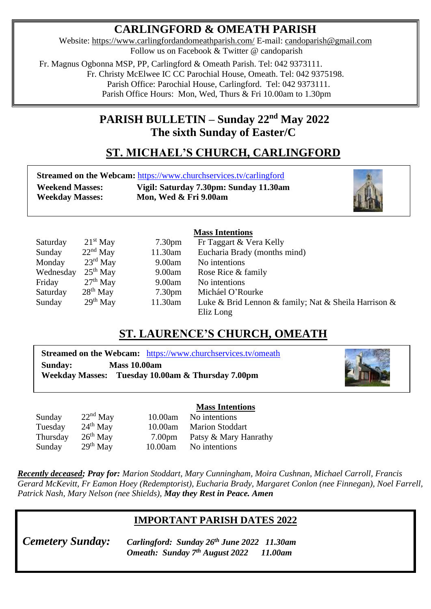# **CARLINGFORD & OMEATH PARISH**

Website:<https://www.carlingfordandomeathparish.com/> E-mail: [candoparish@gmail.com](mailto:candoparish@gmail.com) Follow us on Facebook & Twitter @ candoparish

 Fr. Magnus Ogbonna MSP, PP, Carlingford & Omeath Parish. Tel: 042 9373111. Fr. Christy McElwee IC CC Parochial House, Omeath. Tel: 042 9375198. Parish Office: Parochial House, Carlingford. Tel: 042 9373111.

Parish Office Hours: Mon, Wed, Thurs & Fri 10.00am to 1.30pm

## **PARISH BULLETIN – Sunday 22nd May 2022 The sixth Sunday of Easter/C**

# **ST. MICHAEL'S CHURCH, CARLINGFORD**

|                        | <b>Streamed on the Webcam: https://www.churchservices.tv/carlingford</b> |
|------------------------|--------------------------------------------------------------------------|
| <b>Weekend Masses:</b> | Vigil: Saturday 7.30pm: Sunday 11.30am                                   |
| <b>Weekday Masses:</b> | Mon, Wed & Fri 9.00am                                                    |



### **Mass Intentions**

| Saturday  | $21st$ May           | 7.30 <sub>pm</sub> | Fr Taggart & Vera Kelly                              |
|-----------|----------------------|--------------------|------------------------------------------------------|
| Sunday    | $22nd$ May           | 11.30am            | Eucharia Brady (months mind)                         |
| Monday    | $23^{\text{rd}}$ May | 9.00am             | No intentions                                        |
| Wednesday | $25th$ May           | 9.00am             | Rose Rice & family                                   |
| Friday    | $27th$ May           | 9.00am             | No intentions                                        |
| Saturday  | $28th$ May           | 7.30 <sub>pm</sub> | Micháel O'Rourke                                     |
| Sunday    | $29th$ May           | 11.30am            | Luke & Brid Lennon & family; Nat & Sheila Harrison & |
|           |                      |                    | Eliz Long                                            |

## **ST. LAURENCE'S CHURCH, OMEATH**

**Streamed on the Webcam:** <https://www.churchservices.tv/omeath> **Sunday: Mass 10.00am Weekday Masses: Tuesday 10.00am & Thursday 7.00pm**



#### **Mass Intentions** Sunday 22<sup>nd</sup> May 10.00am No intentions Tuesday 24th May 10.00am Marion Stoddart  $26<sup>th</sup>$  May 7.00pm Patsy & Mary Hanrathy Sunday 29  $29<sup>th</sup>$  May 10.00am No intentions **Thursday**

*Recently deceased; Pray for: Marion Stoddart, Mary Cunningham, Moira Cushnan, Michael Carroll, Francis Gerard McKevitt, Fr Eamon Hoey (Redemptorist), Eucharia Brady, Margaret Conlon (nee Finnegan), Noel Farrell,*   *Patrick Nash, Mary Nelson (nee Shields), May they Rest in Peace. Amen* 

## **IMPORTANT PARISH DATES 2022**

*Omeath: Sunday 7<sup>th</sup> August 2022* **11.00am** *Cemetery Sunday: Carlingford: Sunday 26th June 2022 11.30am*